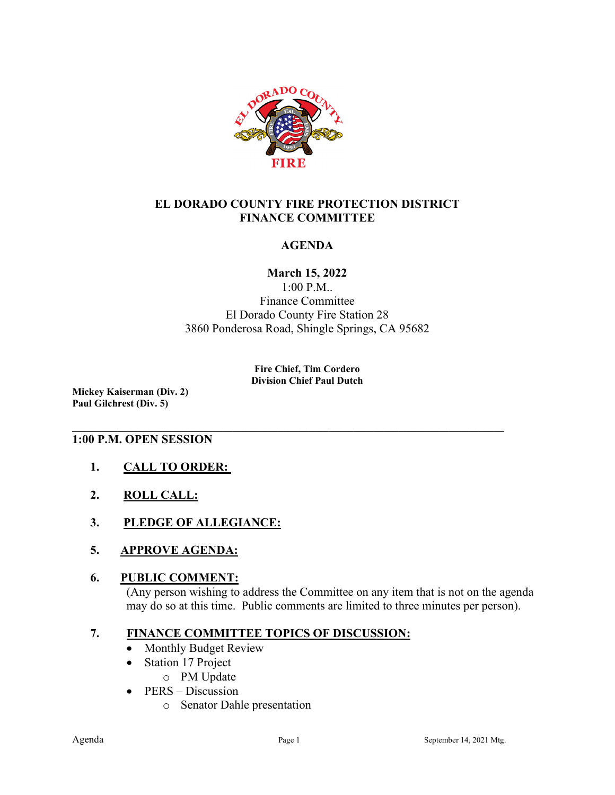

## **EL DORADO COUNTY FIRE PROTECTION DISTRICT FINANCE COMMITTEE**

## **AGENDA**

## **March 15, 2022**

1:00 P.M.. Finance Committee El Dorado County Fire Station 28 3860 Ponderosa Road, Shingle Springs, CA 95682

#### **Fire Chief, Tim Cordero Division Chief Paul Dutch**

**\_\_\_\_\_\_\_\_\_\_\_\_\_\_\_\_\_\_\_\_\_\_\_\_\_\_\_\_\_\_\_\_\_\_\_\_\_\_\_\_\_\_\_\_\_\_\_\_\_\_\_\_\_\_\_\_\_\_\_\_\_\_\_\_\_\_\_\_\_\_\_\_\_\_\_\_\_\_\_\_\_\_\_\_\_\_**

**Mickey Kaiserman (Div. 2) Paul Gilchrest (Div. 5)** 

### **1:00 P.M. OPEN SESSION**

- **1. CALL TO ORDER:**
- **2. ROLL CALL:**
- **3. PLEDGE OF ALLEGIANCE:**
- **5. APPROVE AGENDA:**

### **6. PUBLIC COMMENT:**

(Any person wishing to address the Committee on any item that is not on the agenda may do so at this time. Public comments are limited to three minutes per person).

## **7. FINANCE COMMITTEE TOPICS OF DISCUSSION:**

- Monthly Budget Review
- Station 17 Project
	- o PM Update
- PERS Discussion
	- o Senator Dahle presentation